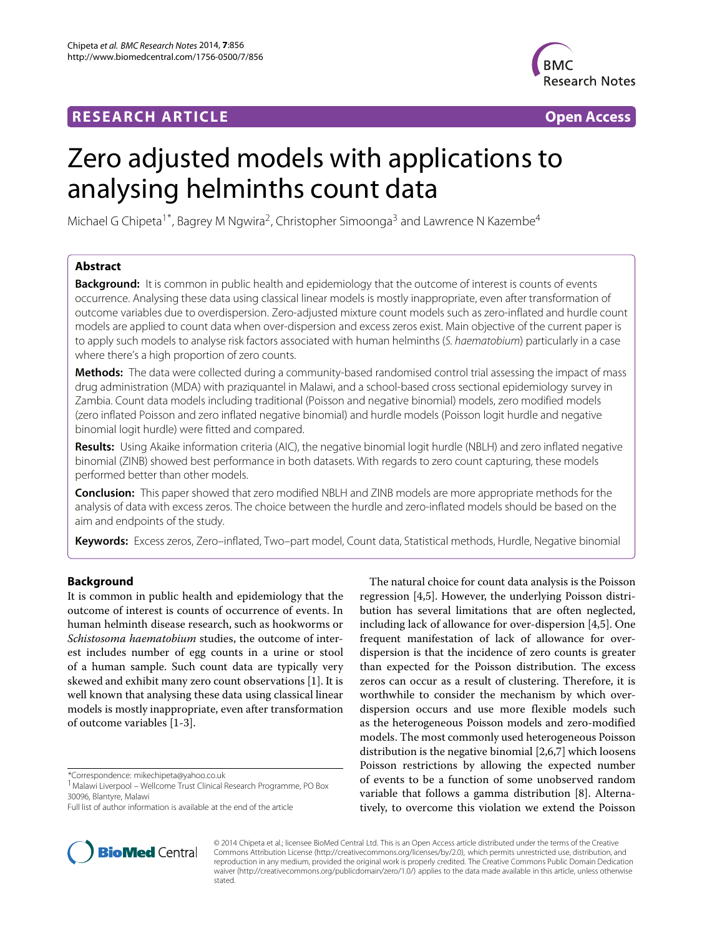## **RESEARCH ARTICLE CONSUMING A RESEARCH ARTICLE**



# Zero adjusted models with applications to analysing helminths count data

Michael G Chipeta<sup>1\*</sup>, Bagrey M Ngwira<sup>2</sup>, Christopher Simoonga<sup>3</sup> and Lawrence N Kazembe<sup>4</sup>

## **Abstract**

**Background:** It is common in public health and epidemiology that the outcome of interest is counts of events occurrence. Analysing these data using classical linear models is mostly inappropriate, even after transformation of outcome variables due to overdispersion. Zero-adjusted mixture count models such as zero-inflated and hurdle count models are applied to count data when over-dispersion and excess zeros exist. Main objective of the current paper is to apply such models to analyse risk factors associated with human helminths (*S. haematobium*) particularly in a case where there's a high proportion of zero counts.

**Methods:** The data were collected during a community-based randomised control trial assessing the impact of mass drug administration (MDA) with praziquantel in Malawi, and a school-based cross sectional epidemiology survey in Zambia. Count data models including traditional (Poisson and negative binomial) models, zero modified models (zero inflated Poisson and zero inflated negative binomial) and hurdle models (Poisson logit hurdle and negative binomial logit hurdle) were fitted and compared.

**Results:** Using Akaike information criteria (AIC), the negative binomial logit hurdle (NBLH) and zero inflated negative binomial (ZINB) showed best performance in both datasets. With regards to zero count capturing, these models performed better than other models.

**Conclusion:** This paper showed that zero modified NBLH and ZINB models are more appropriate methods for the analysis of data with excess zeros. The choice between the hurdle and zero-inflated models should be based on the aim and endpoints of the study.

**Keywords:** Excess zeros, Zero–inflated, Two–part model, Count data, Statistical methods, Hurdle, Negative binomial

## **Background**

It is common in public health and epidemiology that the outcome of interest is counts of occurrence of events. In human helminth disease research, such as hookworms or *Schistosoma haematobium* studies, the outcome of interest includes number of egg counts in a urine or stool of a human sample. Such count data are typically very skewed and exhibit many zero count observations [\[1\]](#page-9-0). It is well known that analysing these data using classical linear models is mostly inappropriate, even after transformation of outcome variables [\[1-](#page-9-0)[3\]](#page-9-1).





© 2014 Chipeta et al.; licensee BioMed Central Ltd. This is an Open Access article distributed under the terms of the Creative Commons Attribution License [\(http://creativecommons.org/licenses/by/2.0\)](http://creativecommons.org/licenses/by/2.0), which permits unrestricted use, distribution, and reproduction in any medium, provided the original work is properly credited. The Creative Commons Public Domain Dedication waiver [\(http://creativecommons.org/publicdomain/zero/1.0/\)](http://creativecommons.org/publicdomain/zero/1.0/) applies to the data made available in this article, unless otherwise stated.

<sup>\*</sup>Correspondence: [mikechipeta@yahoo.co.uk](mailto:mikechipeta@yahoo.co.uk)

<sup>1</sup>Malawi Liverpool – Wellcome Trust Clinical Research Programme, PO Box 30096, Blantyre, Malawi

Full list of author information is available at the end of the article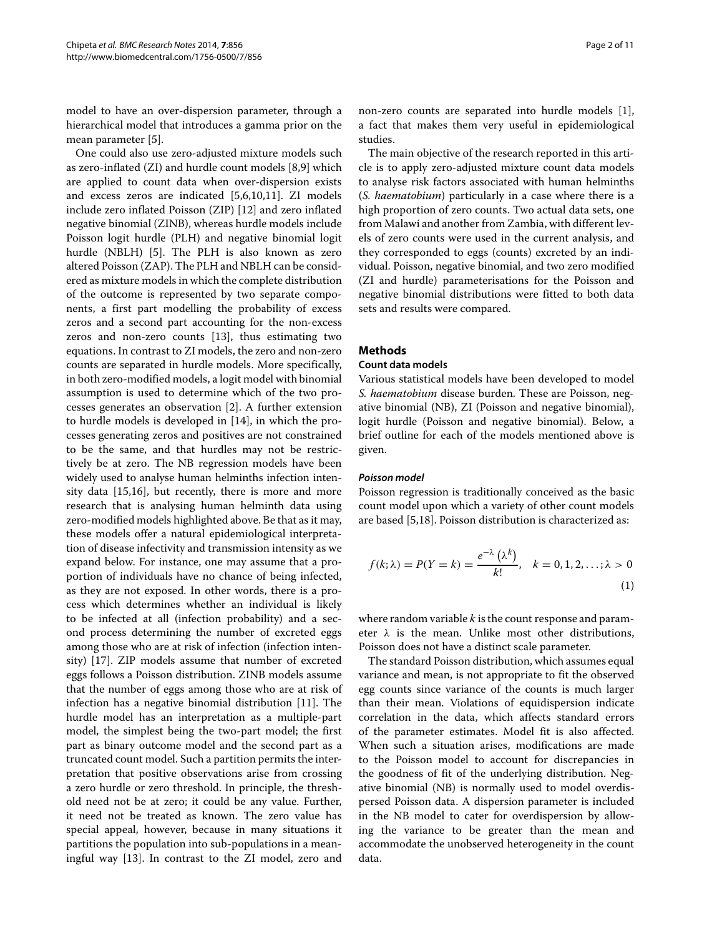model to have an over-dispersion parameter, through a hierarchical model that introduces a gamma prior on the mean parameter [\[5\]](#page-9-3).

One could also use zero-adjusted mixture models such as zero-inflated (ZI) and hurdle count models [\[8,](#page-9-7)[9\]](#page-9-8) which are applied to count data when over-dispersion exists and excess zeros are indicated [\[5,](#page-9-3)[6,](#page-9-5)[10,](#page-9-9)[11\]](#page-9-10). ZI models include zero inflated Poisson (ZIP) [\[12\]](#page-9-11) and zero inflated negative binomial (ZINB), whereas hurdle models include Poisson logit hurdle (PLH) and negative binomial logit hurdle (NBLH) [\[5\]](#page-9-3). The PLH is also known as zero altered Poisson (ZAP). The PLH and NBLH can be considered as mixture models in which the complete distribution of the outcome is represented by two separate components, a first part modelling the probability of excess zeros and a second part accounting for the non-excess zeros and non-zero counts [\[13\]](#page-9-12), thus estimating two equations. In contrast to ZI models, the zero and non-zero counts are separated in hurdle models. More specifically, in both zero-modified models, a logit model with binomial assumption is used to determine which of the two processes generates an observation [\[2\]](#page-9-4). A further extension to hurdle models is developed in [\[14\]](#page-9-13), in which the processes generating zeros and positives are not constrained to be the same, and that hurdles may not be restrictively be at zero. The NB regression models have been widely used to analyse human helminths infection intensity data [\[15](#page-9-14)[,16\]](#page-9-15), but recently, there is more and more research that is analysing human helminth data using zero-modified models highlighted above. Be that as it may, these models offer a natural epidemiological interpretation of disease infectivity and transmission intensity as we expand below. For instance, one may assume that a proportion of individuals have no chance of being infected, as they are not exposed. In other words, there is a process which determines whether an individual is likely to be infected at all (infection probability) and a second process determining the number of excreted eggs among those who are at risk of infection (infection intensity) [\[17\]](#page-9-16). ZIP models assume that number of excreted eggs follows a Poisson distribution. ZINB models assume that the number of eggs among those who are at risk of infection has a negative binomial distribution [\[11\]](#page-9-10). The hurdle model has an interpretation as a multiple-part model, the simplest being the two-part model; the first part as binary outcome model and the second part as a truncated count model. Such a partition permits the interpretation that positive observations arise from crossing a zero hurdle or zero threshold. In principle, the threshold need not be at zero; it could be any value. Further, it need not be treated as known. The zero value has special appeal, however, because in many situations it partitions the population into sub-populations in a meaningful way [\[13\]](#page-9-12). In contrast to the ZI model, zero and non-zero counts are separated into hurdle models [\[1\]](#page-9-0), a fact that makes them very useful in epidemiological studies.

The main objective of the research reported in this article is to apply zero-adjusted mixture count data models to analyse risk factors associated with human helminths (*S. haematobium*) particularly in a case where there is a high proportion of zero counts. Two actual data sets, one from Malawi and another from Zambia, with different levels of zero counts were used in the current analysis, and they corresponded to eggs (counts) excreted by an individual. Poisson, negative binomial, and two zero modified (ZI and hurdle) parameterisations for the Poisson and negative binomial distributions were fitted to both data sets and results were compared.

#### **Methods**

#### **Count data models**

Various statistical models have been developed to model *S. haematobium* disease burden. These are Poisson, negative binomial (NB), ZI (Poisson and negative binomial), logit hurdle (Poisson and negative binomial). Below, a brief outline for each of the models mentioned above is given.

#### *Poisson model*

Poisson regression is traditionally conceived as the basic count model upon which a variety of other count models are based [\[5](#page-9-3)[,18\]](#page-9-17). Poisson distribution is characterized as:

<span id="page-1-0"></span>
$$
f(k; \lambda) = P(Y = k) = \frac{e^{-\lambda} (\lambda^k)}{k!}, \quad k = 0, 1, 2, \dots; \lambda > 0
$$
\n(1)

where random variable *k* is the count response and parameter  $\lambda$  is the mean. Unlike most other distributions, Poisson does not have a distinct scale parameter.

The standard Poisson distribution, which assumes equal variance and mean, is not appropriate to fit the observed egg counts since variance of the counts is much larger than their mean. Violations of equidispersion indicate correlation in the data, which affects standard errors of the parameter estimates. Model fit is also affected. When such a situation arises, modifications are made to the Poisson model to account for discrepancies in the goodness of fit of the underlying distribution. Negative binomial (NB) is normally used to model overdispersed Poisson data. A dispersion parameter is included in the NB model to cater for overdispersion by allowing the variance to be greater than the mean and accommodate the unobserved heterogeneity in the count data.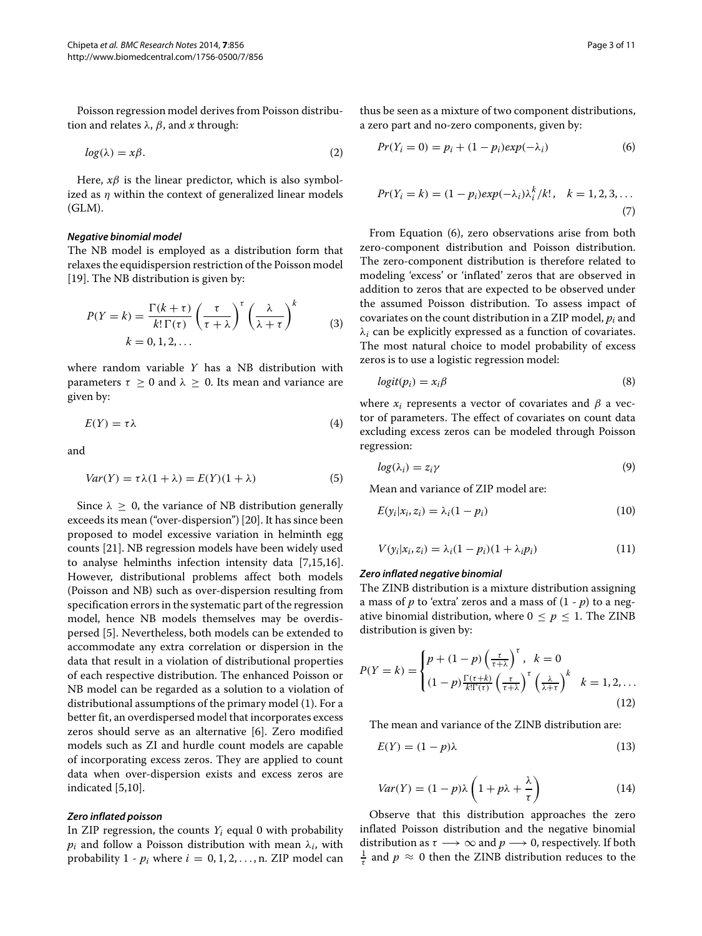Poisson regression model derives from Poisson distribution and relates  $\lambda$ ,  $\beta$ , and *x* through:

$$
log(\lambda) = x\beta.
$$
 (2)

Here,  $x\beta$  is the linear predictor, which is also symbolized as  $\eta$  within the context of generalized linear models (GLM).

## *Negative binomial model*

The NB model is employed as a distribution form that relaxes the equidispersion restriction of the Poisson model [\[19\]](#page-9-18). The NB distribution is given by:

$$
P(Y = k) = \frac{\Gamma(k + \tau)}{k!\,\Gamma(\tau)} \left(\frac{\tau}{\tau + \lambda}\right)^{\tau} \left(\frac{\lambda}{\lambda + \tau}\right)^{k}
$$
  
(3)  
 $k = 0, 1, 2, ...$ 

where random variable *Y* has a NB distribution with parameters  $\tau \geq 0$  and  $\lambda \geq 0$ . Its mean and variance are given by:

$$
E(Y) = \tau \lambda \tag{4}
$$

and

$$
Var(Y) = \tau \lambda (1 + \lambda) = E(Y)(1 + \lambda)
$$
\n(5)

Since  $\lambda \geq 0$ , the variance of NB distribution generally exceeds its mean ("over-dispersion") [\[20\]](#page-10-0). It has since been proposed to model excessive variation in helminth egg counts [\[21\]](#page-10-1). NB regression models have been widely used to analyse helminths infection intensity data [\[7,](#page-9-6)[15](#page-9-14)[,16\]](#page-9-15). However, distributional problems affect both models (Poisson and NB) such as over-dispersion resulting from specification errors in the systematic part of the regression model, hence NB models themselves may be overdispersed [\[5\]](#page-9-3). Nevertheless, both models can be extended to accommodate any extra correlation or dispersion in the data that result in a violation of distributional properties of each respective distribution. The enhanced Poisson or NB model can be regarded as a solution to a violation of distributional assumptions of the primary model [\(1\)](#page-1-0). For a better fit, an overdispersed model that incorporates excess zeros should serve as an alternative [\[6\]](#page-9-5). Zero modified models such as ZI and hurdle count models are capable of incorporating excess zeros. They are applied to count data when over-dispersion exists and excess zeros are indicated [\[5](#page-9-3)[,10\]](#page-9-9).

#### *Zero inflated poisson*

In ZIP regression, the counts  $Y_i$  equal 0 with probability  $p_i$  and follow a Poisson distribution with mean  $\lambda_i$ , with probability  $1 - p_i$  where  $i = 0, 1, 2, \ldots, n$ . ZIP model can <span id="page-2-1"></span>thus be seen as a mixture of two component distributions, a zero part and no-zero components, given by:

<span id="page-2-0"></span>
$$
Pr(Y_i = 0) = p_i + (1 - p_i)exp(-\lambda_i)
$$
 (6)

$$
Pr(Y_i = k) = (1 - p_i)exp(-\lambda_i)\lambda_i^k / k!, \quad k = 1, 2, 3, ...
$$
\n(7)

From Equation [\(6\)](#page-2-0), zero observations arise from both zero-component distribution and Poisson distribution. The zero-component distribution is therefore related to modeling 'excess' or 'inflated' zeros that are observed in addition to zeros that are expected to be observed under the assumed Poisson distribution. To assess impact of covariates on the count distribution in a ZIP model, *pi* and  $\lambda_i$  can be explicitly expressed as a function of covariates. The most natural choice to model probability of excess zeros is to use a logistic regression model:

$$
logit(p_i) = x_i \beta \tag{8}
$$

where  $x_i$  represents a vector of covariates and  $\beta$  a vector of parameters. The effect of covariates on count data excluding excess zeros can be modeled through Poisson regression:

$$
log(\lambda_i) = z_i \gamma \tag{9}
$$

Mean and variance of ZIP model are:

$$
E(y_i|x_i, z_i) = \lambda_i (1 - p_i)
$$
\n(10)

$$
V(y_i|x_i, z_i) = \lambda_i (1 - p_i)(1 + \lambda_i p_i)
$$
\n(11)

#### *Zero inflated negative binomial*

The ZINB distribution is a mixture distribution assigning a mass of  $p$  to 'extra' zeros and a mass of  $(1 - p)$  to a negative binomial distribution, where  $0 \le p \le 1$ . The ZINB distribution is given by:

$$
P(Y = k) = \begin{cases} p + (1 - p) \left(\frac{\tau}{\tau + \lambda}\right)^{\tau}, & k = 0\\ (1 - p) \frac{\Gamma(\tau + k)}{k! \Gamma(\tau)} \left(\frac{\tau}{\tau + \lambda}\right)^{\tau} \left(\frac{\lambda}{\lambda + \tau}\right)^{k} & k = 1, 2, \dots \end{cases}
$$
(12)

The mean and variance of the ZINB distribution are:

$$
E(Y) = (1 - p)\lambda
$$
\n(13)

$$
Var(Y) = (1 - p)\lambda \left(1 + p\lambda + \frac{\lambda}{\tau}\right) \tag{14}
$$

Observe that this distribution approaches the zero inflated Poisson distribution and the negative binomial distribution as  $\tau \longrightarrow \infty$  and  $p \longrightarrow 0$ , respectively. If both  $\frac{1}{\tau}$  and  $p \approx 0$  then the ZINB distribution reduces to the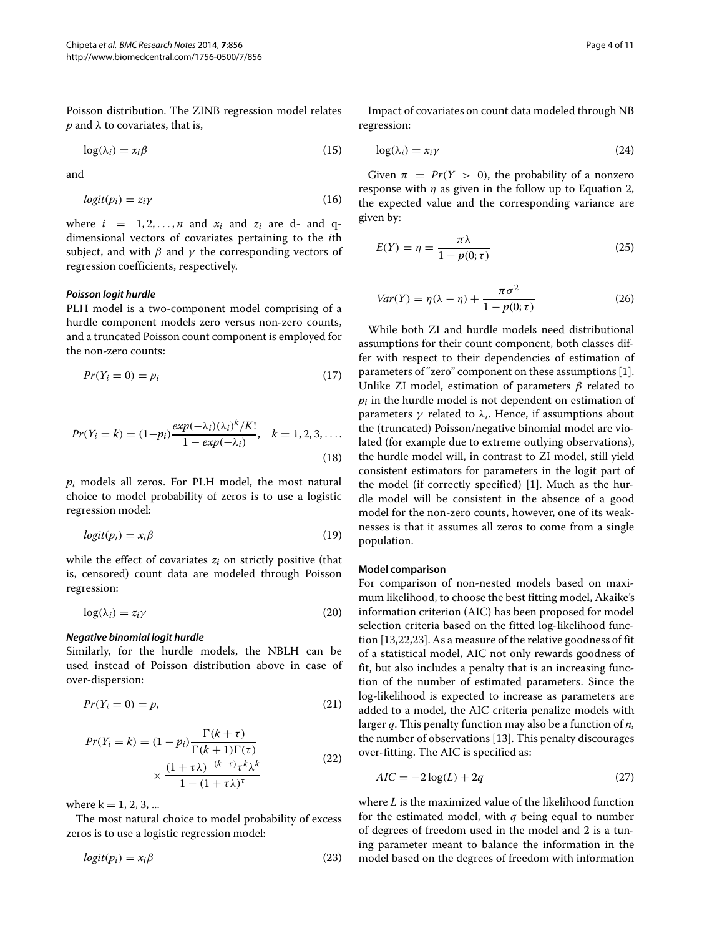Poisson distribution. The ZINB regression model relates  $p$  and  $\lambda$  to covariates, that is,

$$
\log(\lambda_i) = x_i \beta \tag{15}
$$

and

$$
logit(p_i) = z_i \gamma \tag{16}
$$

where  $i = 1, 2, \ldots, n$  and  $x_i$  and  $z_i$  are d- and qdimensional vectors of covariates pertaining to the *i*th subject, and with  $\beta$  and  $\gamma$  the corresponding vectors of regression coefficients, respectively.

#### *Poisson logit hurdle*

PLH model is a two-component model comprising of a hurdle component models zero versus non-zero counts, and a truncated Poisson count component is employed for the non-zero counts:

$$
Pr(Y_i = 0) = p_i \tag{17}
$$

$$
Pr(Y_i = k) = (1 - p_i) \frac{\exp(-\lambda_i)(\lambda_i)^k / K!}{1 - \exp(-\lambda_i)}, \quad k = 1, 2, 3, ....
$$
\n(18)

*pi* models all zeros. For PLH model, the most natural choice to model probability of zeros is to use a logistic regression model:

$$
logit(p_i) = x_i \beta \tag{19}
$$

while the effect of covariates  $z_i$  on strictly positive (that is, censored) count data are modeled through Poisson regression:

$$
\log(\lambda_i) = z_i \gamma \tag{20}
$$

#### *Negative binomial logit hurdle*

Similarly, for the hurdle models, the NBLH can be used instead of Poisson distribution above in case of over-dispersion:

$$
Pr(Y_i = 0) = p_i \tag{21}
$$

$$
Pr(Y_i = k) = (1 - p_i) \frac{\Gamma(k + \tau)}{\Gamma(k + 1)\Gamma(\tau)}
$$
  
 
$$
\times \frac{(1 + \tau \lambda)^{-(k + \tau)} \tau^k \lambda^k}{1 - (1 + \tau \lambda)^{\tau}}
$$
 (22)

where  $k = 1, 2, 3, ...$ 

The most natural choice to model probability of excess zeros is to use a logistic regression model:

$$
logit(p_i) = x_i \beta \tag{23}
$$

Impact of covariates on count data modeled through NB regression:

$$
\log(\lambda_i) = x_i \gamma \tag{24}
$$

Given  $\pi = Pr(Y > 0)$ , the probability of a nonzero response with  $\eta$  as given in the follow up to Equation [2,](#page-2-1) the expected value and the corresponding variance are given by:

$$
E(Y) = \eta = \frac{\pi \lambda}{1 - p(0; \tau)}
$$
\n(25)

$$
Var(Y) = \eta(\lambda - \eta) + \frac{\pi \sigma^2}{1 - p(0; \tau)}
$$
\n(26)

While both ZI and hurdle models need distributional assumptions for their count component, both classes differ with respect to their dependencies of estimation of parameters of "zero" component on these assumptions [\[1\]](#page-9-0). Unlike ZI model, estimation of parameters  $\beta$  related to  $p_i$  in the hurdle model is not dependent on estimation of parameters  $γ$  related to  $λ<sub>i</sub>$ . Hence, if assumptions about the (truncated) Poisson/negative binomial model are violated (for example due to extreme outlying observations), the hurdle model will, in contrast to ZI model, still yield consistent estimators for parameters in the logit part of the model (if correctly specified) [\[1\]](#page-9-0). Much as the hurdle model will be consistent in the absence of a good model for the non-zero counts, however, one of its weaknesses is that it assumes all zeros to come from a single population.

#### **Model comparison**

For comparison of non-nested models based on maximum likelihood, to choose the best fitting model, Akaike's information criterion (AIC) has been proposed for model selection criteria based on the fitted log-likelihood function [\[13,](#page-9-12)[22,](#page-10-2)[23\]](#page-10-3). As a measure of the relative goodness of fit of a statistical model, AIC not only rewards goodness of fit, but also includes a penalty that is an increasing function of the number of estimated parameters. Since the log-likelihood is expected to increase as parameters are added to a model, the AIC criteria penalize models with larger *q*. This penalty function may also be a function of *n*, the number of observations [\[13\]](#page-9-12). This penalty discourages over-fitting. The AIC is specified as:

$$
AIC = -2\log(L) + 2q\tag{27}
$$

where *L* is the maximized value of the likelihood function for the estimated model, with *q* being equal to number of degrees of freedom used in the model and 2 is a tuning parameter meant to balance the information in the model based on the degrees of freedom with information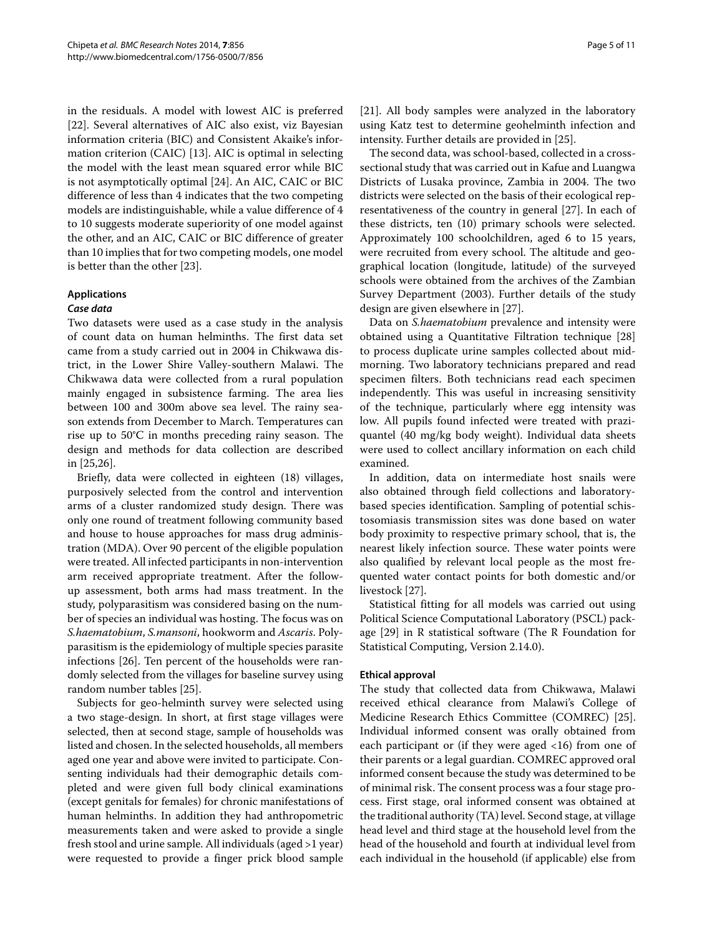in the residuals. A model with lowest AIC is preferred [\[22\]](#page-10-2). Several alternatives of AIC also exist, viz Bayesian information criteria (BIC) and Consistent Akaike's information criterion (CAIC) [\[13\]](#page-9-12). AIC is optimal in selecting the model with the least mean squared error while BIC is not asymptotically optimal [\[24\]](#page-10-4). An AIC, CAIC or BIC difference of less than 4 indicates that the two competing models are indistinguishable, while a value difference of 4 to 10 suggests moderate superiority of one model against the other, and an AIC, CAIC or BIC difference of greater than 10 implies that for two competing models, one model is better than the other [\[23\]](#page-10-3).

## **Applications**

## *Case data*

Two datasets were used as a case study in the analysis of count data on human helminths. The first data set came from a study carried out in 2004 in Chikwawa district, in the Lower Shire Valley-southern Malawi. The Chikwawa data were collected from a rural population mainly engaged in subsistence farming. The area lies between 100 and 300m above sea level. The rainy season extends from December to March. Temperatures can rise up to 50°C in months preceding rainy season. The design and methods for data collection are described in [\[25,](#page-10-5)[26\]](#page-10-6).

Briefly, data were collected in eighteen (18) villages, purposively selected from the control and intervention arms of a cluster randomized study design. There was only one round of treatment following community based and house to house approaches for mass drug administration (MDA). Over 90 percent of the eligible population were treated. All infected participants in non-intervention arm received appropriate treatment. After the followup assessment, both arms had mass treatment. In the study, polyparasitism was considered basing on the number of species an individual was hosting. The focus was on *S.haematobium*, *S.mansoni*, hookworm and *Ascaris*. Polyparasitism is the epidemiology of multiple species parasite infections [\[26\]](#page-10-6). Ten percent of the households were randomly selected from the villages for baseline survey using random number tables [\[25\]](#page-10-5).

Subjects for geo-helminth survey were selected using a two stage-design. In short, at first stage villages were selected, then at second stage, sample of households was listed and chosen. In the selected households, all members aged one year and above were invited to participate. Consenting individuals had their demographic details completed and were given full body clinical examinations (except genitals for females) for chronic manifestations of human helminths. In addition they had anthropometric measurements taken and were asked to provide a single fresh stool and urine sample. All individuals (aged >1 year) were requested to provide a finger prick blood sample

[\[21\]](#page-10-1). All body samples were analyzed in the laboratory using Katz test to determine geohelminth infection and intensity. Further details are provided in [\[25\]](#page-10-5).

The second data, was school-based, collected in a crosssectional study that was carried out in Kafue and Luangwa Districts of Lusaka province, Zambia in 2004. The two districts were selected on the basis of their ecological representativeness of the country in general [\[27\]](#page-10-7). In each of these districts, ten (10) primary schools were selected. Approximately 100 schoolchildren, aged 6 to 15 years, were recruited from every school. The altitude and geographical location (longitude, latitude) of the surveyed schools were obtained from the archives of the Zambian Survey Department (2003). Further details of the study design are given elsewhere in [\[27\]](#page-10-7).

Data on *S.haematobium* prevalence and intensity were obtained using a Quantitative Filtration technique [\[28\]](#page-10-8) to process duplicate urine samples collected about midmorning. Two laboratory technicians prepared and read specimen filters. Both technicians read each specimen independently. This was useful in increasing sensitivity of the technique, particularly where egg intensity was low. All pupils found infected were treated with praziquantel (40 mg/kg body weight). Individual data sheets were used to collect ancillary information on each child examined.

In addition, data on intermediate host snails were also obtained through field collections and laboratorybased species identification. Sampling of potential schistosomiasis transmission sites was done based on water body proximity to respective primary school, that is, the nearest likely infection source. These water points were also qualified by relevant local people as the most frequented water contact points for both domestic and/or livestock [\[27\]](#page-10-7).

Statistical fitting for all models was carried out using Political Science Computational Laboratory (PSCL) package [\[29\]](#page-10-9) in R statistical software (The R Foundation for Statistical Computing, Version 2.14.0).

## **Ethical approval**

The study that collected data from Chikwawa, Malawi received ethical clearance from Malawi's College of Medicine Research Ethics Committee (COMREC) [\[25\]](#page-10-5). Individual informed consent was orally obtained from each participant or (if they were aged <16) from one of their parents or a legal guardian. COMREC approved oral informed consent because the study was determined to be of minimal risk. The consent process was a four stage process. First stage, oral informed consent was obtained at the traditional authority (TA) level. Second stage, at village head level and third stage at the household level from the head of the household and fourth at individual level from each individual in the household (if applicable) else from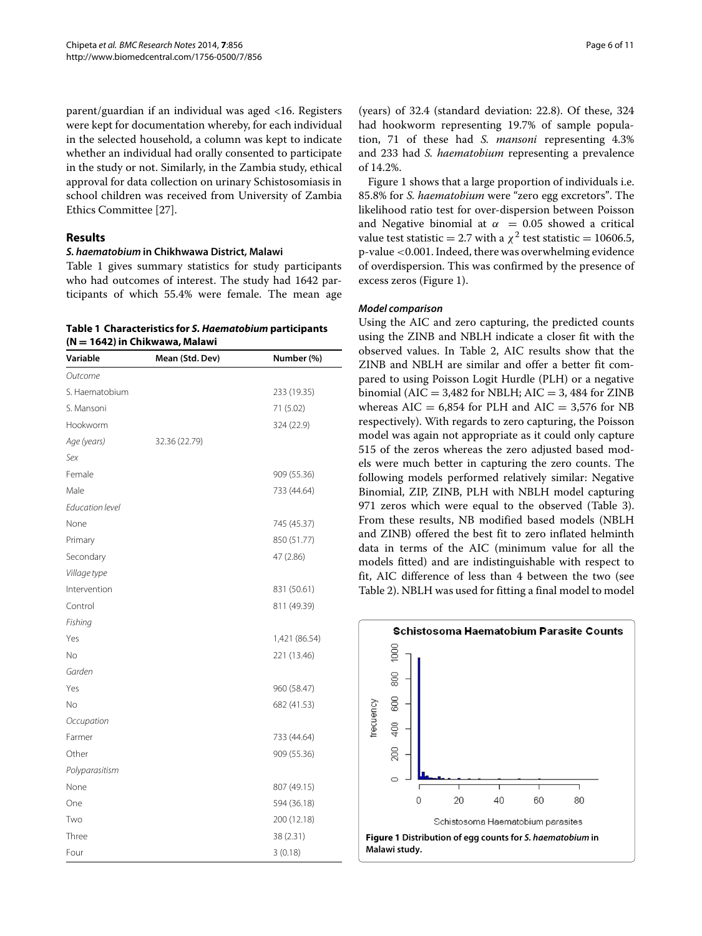parent/guardian if an individual was aged <16. Registers were kept for documentation whereby, for each individual in the selected household, a column was kept to indicate whether an individual had orally consented to participate in the study or not. Similarly, in the Zambia study, ethical approval for data collection on urinary Schistosomiasis in school children was received from University of Zambia Ethics Committee [\[27\]](#page-10-7).

## **Results**

## *S. haematobium* **in Chikhwawa District, Malawi**

Table [1](#page-5-0) gives summary statistics for study participants who had outcomes of interest. The study had 1642 participants of which 55.4% were female. The mean age

<span id="page-5-0"></span>

| Table 1 Characteristics for S. Haematobium participants |
|---------------------------------------------------------|
| $(N = 1642)$ in Chikwawa, Malawi                        |

| Variable        | Mean (Std. Dev) | Number (%)    |
|-----------------|-----------------|---------------|
| Outcome         |                 |               |
| S. Haematobium  |                 | 233 (19.35)   |
| S. Mansoni      |                 | 71 (5.02)     |
| Hookworm        |                 | 324 (22.9)    |
| Age (years)     | 32.36 (22.79)   |               |
| Sex             |                 |               |
| Female          |                 | 909 (55.36)   |
| Male            |                 | 733 (44.64)   |
| Education level |                 |               |
| None            |                 | 745 (45.37)   |
| Primary         |                 | 850 (51.77)   |
| Secondary       |                 | 47 (2.86)     |
| Village type    |                 |               |
| Intervention    |                 | 831 (50.61)   |
| Control         |                 | 811 (49.39)   |
| Fishing         |                 |               |
| Yes             |                 | 1,421 (86.54) |
| No              |                 | 221 (13.46)   |
| Garden          |                 |               |
| Yes             |                 | 960 (58.47)   |
| <b>No</b>       |                 | 682 (41.53)   |
| Occupation      |                 |               |
| Farmer          |                 | 733 (44.64)   |
| Other           |                 | 909 (55.36)   |
| Polyparasitism  |                 |               |
| None            |                 | 807 (49.15)   |
| One             |                 | 594 (36.18)   |
| Two             |                 | 200 (12.18)   |
| Three           |                 | 38 (2.31)     |
| Four            |                 | 3(0.18)       |

(years) of 32.4 (standard deviation: 22.8). Of these, 324 had hookworm representing 19.7% of sample population, 71 of these had *S. mansoni* representing 4.3% and 233 had *S. haematobium* representing a prevalence of 14.2%.

Figure [1](#page-5-1) shows that a large proportion of individuals i.e. 85.8% for *S. haematobium* were "zero egg excretors". The likelihood ratio test for over-dispersion between Poisson and Negative binomial at  $\alpha$  = 0.05 showed a critical value test statistic = 2.7 with a  $\chi^2$  test statistic = 10606.5, p-value <0.001. Indeed, there was overwhelming evidence of overdispersion. This was confirmed by the presence of excess zeros (Figure [1\)](#page-5-1).

## *Model comparison*

Using the AIC and zero capturing, the predicted counts using the ZINB and NBLH indicate a closer fit with the observed values. In Table [2,](#page-6-0) AIC results show that the ZINB and NBLH are similar and offer a better fit compared to using Poisson Logit Hurdle (PLH) or a negative binomial ( $AIC = 3,482$  for NBLH;  $AIC = 3,484$  for ZINB whereas  $AIC = 6,854$  for PLH and  $AIC = 3,576$  for NB respectively). With regards to zero capturing, the Poisson model was again not appropriate as it could only capture 515 of the zeros whereas the zero adjusted based models were much better in capturing the zero counts. The following models performed relatively similar: Negative Binomial, ZIP, ZINB, PLH with NBLH model capturing 971 zeros which were equal to the observed (Table [3\)](#page-6-1). From these results, NB modified based models (NBLH and ZINB) offered the best fit to zero inflated helminth data in terms of the AIC (minimum value for all the models fitted) and are indistinguishable with respect to fit, AIC difference of less than 4 between the two (see Table [2\)](#page-6-0). NBLH was used for fitting a final model to model

<span id="page-5-1"></span>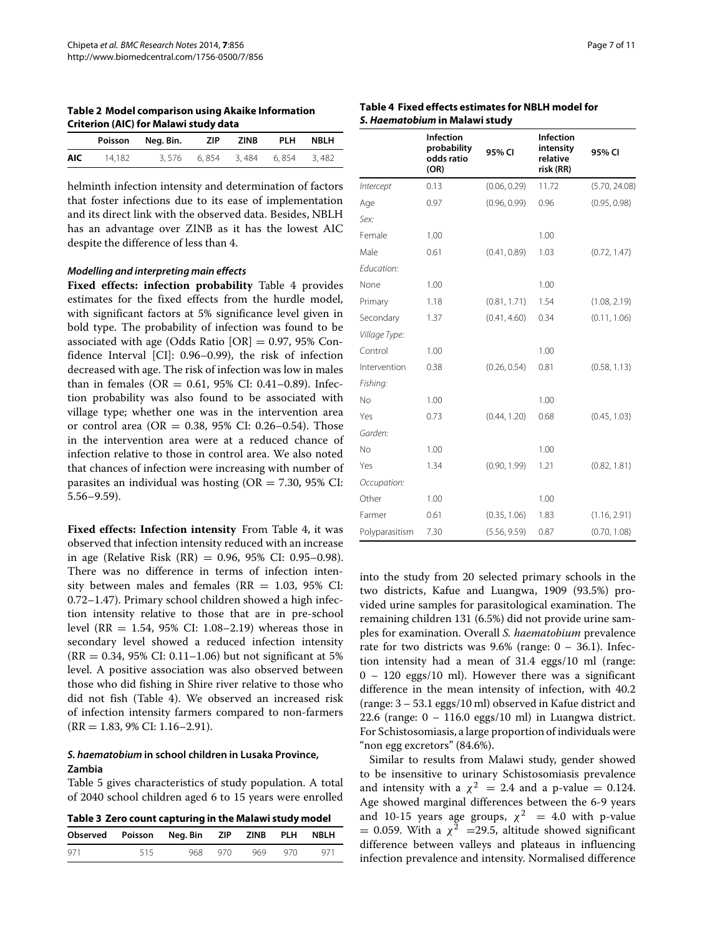<span id="page-6-0"></span>**Table 2 Model comparison using Akaike Information Criterion (AIC) for Malawi study data**

|      | Poisson | Neg. Bin. | ZIP                     | <b>ZINB</b> | <b>PLH</b> | <b>NBLH</b> |
|------|---------|-----------|-------------------------|-------------|------------|-------------|
| AIC. | 14.182  |           | 3.576 6.854 3.484 6.854 |             |            | - 3.482     |

helminth infection intensity and determination of factors that foster infections due to its ease of implementation and its direct link with the observed data. Besides, NBLH has an advantage over ZINB as it has the lowest AIC despite the difference of less than 4.

#### *Modelling and interpreting main effects*

**Fixed effects: infection probability** Table [4](#page-6-2) provides estimates for the fixed effects from the hurdle model, with significant factors at 5% significance level given in bold type. The probability of infection was found to be associated with age (Odds Ratio  $[OR] = 0.97, 95\%$  Confidence Interval [CI]: 0.96–0.99), the risk of infection decreased with age. The risk of infection was low in males than in females ( $OR = 0.61$ ,  $95\%$  CI:  $0.41-0.89$ ). Infection probability was also found to be associated with village type; whether one was in the intervention area or control area (OR =  $0.38$ , 95% CI: 0.26–0.54). Those in the intervention area were at a reduced chance of infection relative to those in control area. We also noted that chances of infection were increasing with number of parasites an individual was hosting ( $OR = 7.30$ , 95% CI: 5.56–9.59).

**Fixed effects: Infection intensity** From Table [4,](#page-6-2) it was observed that infection intensity reduced with an increase in age (Relative Risk  $(RR) = 0.96, 95\%$  CI: 0.95–0.98). There was no difference in terms of infection intensity between males and females ( $RR = 1.03$ , 95% CI: 0.72–1.47). Primary school children showed a high infection intensity relative to those that are in pre-school level (RR = 1.54, 95% CI: 1.08–2.19) whereas those in secondary level showed a reduced infection intensity  $(RR = 0.34, 95\% \text{ CI: } 0.11 - 1.06)$  but not significant at 5% level. A positive association was also observed between those who did fishing in Shire river relative to those who did not fish (Table [4\)](#page-6-2). We observed an increased risk of infection intensity farmers compared to non-farmers  $(RR = 1.83, 9\% \text{ CI: } 1.16 - 2.91).$ 

## *S. haematobium* **in school children in Lusaka Province, Zambia**

Table [5](#page-7-0) gives characteristics of study population. A total of 2040 school children aged 6 to 15 years were enrolled

|  |  | Table 3 Zero count capturing in the Malawi study model |
|--|--|--------------------------------------------------------|
|--|--|--------------------------------------------------------|

<span id="page-6-1"></span>

| Observed Poisson Neg. Bin ZIP ZINB PLH |     |         |     |     | <b>NBLH</b> |
|----------------------------------------|-----|---------|-----|-----|-------------|
| -971                                   | 515 | 968 970 | 969 | 970 | 971         |

## <span id="page-6-2"></span>**Table 4 Fixed effects estimates for NBLH model for** *S. Haematobium* **in Malawi study**

|                | <b>Infection</b><br>probability<br>odds ratio<br>(OR) | 95% CI       | Infection<br>intensity<br>relative<br>risk (RR) | 95% CI        |
|----------------|-------------------------------------------------------|--------------|-------------------------------------------------|---------------|
| Intercept      | 0.13                                                  | (0.06, 0.29) | 11.72                                           | (5.70, 24.08) |
| Age            | 0.97                                                  | (0.96, 0.99) | 0.96                                            | (0.95, 0.98)  |
| Sex:           |                                                       |              |                                                 |               |
| Female         | 1.00                                                  |              | 1.00                                            |               |
| Male           | 0.61                                                  | (0.41, 0.89) | 1.03                                            | (0.72, 1.47)  |
| Education:     |                                                       |              |                                                 |               |
| None           | 1.00                                                  |              | 1.00                                            |               |
| Primary        | 1.18                                                  | (0.81, 1.71) | 1.54                                            | (1.08, 2.19)  |
| Secondary      | 1.37                                                  | (0.41, 4.60) | 0.34                                            | (0.11, 1.06)  |
| Village Type:  |                                                       |              |                                                 |               |
| Control        | 1.00                                                  |              | 1.00                                            |               |
| Intervention   | 0.38                                                  | (0.26, 0.54) | 0.81                                            | (0.58, 1.13)  |
| Fishing:       |                                                       |              |                                                 |               |
| No             | 1.00                                                  |              | 1.00                                            |               |
| Yes            | 0.73                                                  | (0.44, 1.20) | 0.68                                            | (0.45, 1.03)  |
| Garden:        |                                                       |              |                                                 |               |
| No             | 1.00                                                  |              | 1.00                                            |               |
| Yes            | 1.34                                                  | (0.90, 1.99) | 1.21                                            | (0.82, 1.81)  |
| Occupation:    |                                                       |              |                                                 |               |
| Other          | 1.00                                                  |              | 1.00                                            |               |
| Farmer         | 0.61                                                  | (0.35, 1.06) | 1.83                                            | (1.16, 2.91)  |
| Polyparasitism | 7.30                                                  | (5.56, 9.59) | 0.87                                            | (0.70, 1.08)  |

into the study from 20 selected primary schools in the two districts, Kafue and Luangwa, 1909 (93.5%) provided urine samples for parasitological examination. The remaining children 131 (6.5%) did not provide urine samples for examination. Overall *S. haematobium* prevalence rate for two districts was  $9.6\%$  (range:  $0 - 36.1$ ). Infection intensity had a mean of 31.4 eggs/10 ml (range: 0 – 120 eggs/10 ml). However there was a significant difference in the mean intensity of infection, with 40.2 (range: 3 – 53.1 eggs/10 ml) observed in Kafue district and 22.6 (range: 0 – 116.0 eggs/10 ml) in Luangwa district. For Schistosomiasis, a large proportion of individuals were "non egg excretors" (84.6%).

Similar to results from Malawi study, gender showed to be insensitive to urinary Schistosomiasis prevalence and intensity with a  $\chi^2$  = 2.4 and a p-value = 0.124. Age showed marginal differences between the 6-9 years and 10-15 years age groups,  $\chi^2$  = 4.0 with p-value  $= 0.059$ . With a  $\chi^2$  = 29.5, altitude showed significant difference between valleys and plateaus in influencing infection prevalence and intensity. Normalised difference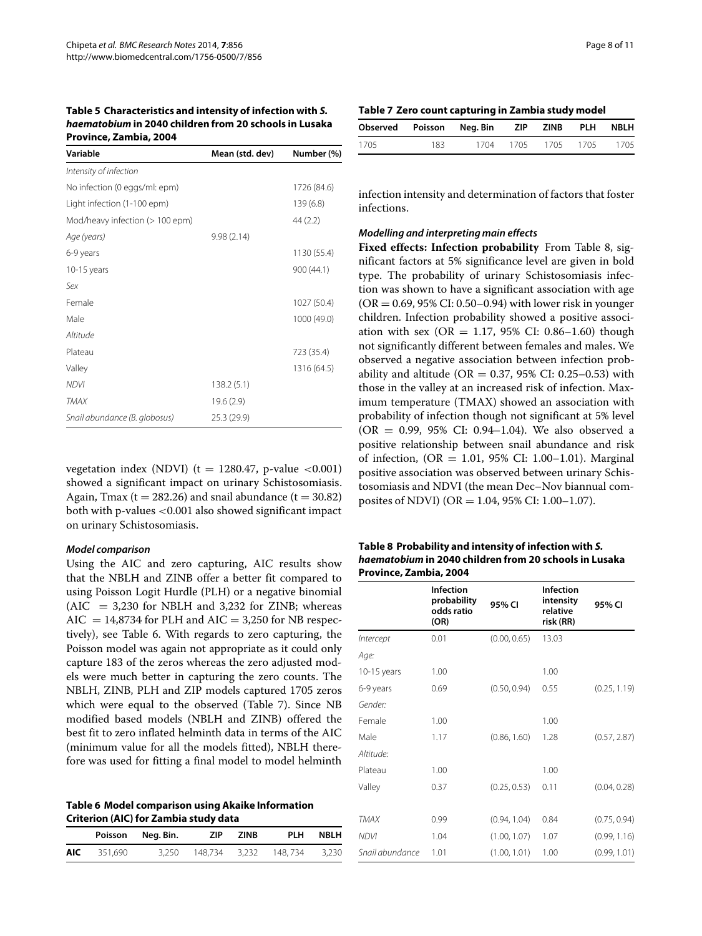## <span id="page-7-0"></span>**Table 5 Characteristics and intensity of infection with** *S. haematobium* **in 2040 children from 20 schools in Lusaka Province, Zambia, 2004**

| Variable                        | Mean (std. dev) | Number (%)  |
|---------------------------------|-----------------|-------------|
| Intensity of infection          |                 |             |
| No infection (0 eggs/ml: epm)   |                 | 1726 (84.6) |
| Light infection (1-100 epm)     |                 | 139 (6.8)   |
| Mod/heavy infection (> 100 epm) |                 | 44 (2.2)    |
| Age (years)                     | 9.98(2.14)      |             |
| 6-9 years                       |                 | 1130 (55.4) |
| $10-15$ years                   |                 | 900 (44.1)  |
| Sex                             |                 |             |
| Female                          |                 | 1027 (50.4) |
| Male                            |                 | 1000 (49.0) |
| Altitude                        |                 |             |
| Plateau                         |                 | 723 (35.4)  |
| Valley                          |                 | 1316 (64.5) |
| <b>NDVI</b>                     | 138.2(5.1)      |             |
| TMAX                            | 19.6 (2.9)      |             |
| Snail abundance (B. globosus)   | 25.3(29.9)      |             |

vegetation index (NDVI) ( $t = 1280.47$ , p-value <0.001) showed a significant impact on urinary Schistosomiasis. Again, Tmax ( $t = 282.26$ ) and snail abundance ( $t = 30.82$ ) both with p-values <0.001 also showed significant impact on urinary Schistosomiasis.

## *Model comparison*

Using the AIC and zero capturing, AIC results show that the NBLH and ZINB offer a better fit compared to using Poisson Logit Hurdle (PLH) or a negative binomial  $(AIC = 3,230$  for NBLH and 3,232 for ZINB; whereas  $AIC = 14,8734$  for PLH and  $AIC = 3,250$  for NB respectively), see Table [6.](#page-7-1) With regards to zero capturing, the Poisson model was again not appropriate as it could only capture 183 of the zeros whereas the zero adjusted models were much better in capturing the zero counts. The NBLH, ZINB, PLH and ZIP models captured 1705 zeros which were equal to the observed (Table [7\)](#page-7-2). Since NB modified based models (NBLH and ZINB) offered the best fit to zero inflated helminth data in terms of the AIC (minimum value for all the models fitted), NBLH therefore was used for fitting a final model to model helminth

<span id="page-7-1"></span>**Table 6 Model comparison using Akaike Information Criterion (AIC) for Zambia study data**

|      |         | Poisson Neg. Bin. | ZIP     | ZINB  | PLH.     | <b>NBLH</b> |
|------|---------|-------------------|---------|-------|----------|-------------|
| AIC. | 351.690 | 3.250             | 148.734 | 3.232 | 148, 734 | 3.230       |

<span id="page-7-2"></span>

|  |  | Table 7 Zero count capturing in Zambia study model |  |  |  |  |
|--|--|----------------------------------------------------|--|--|--|--|
|--|--|----------------------------------------------------|--|--|--|--|

| Observed Poisson Neg. Bin |      |  | ZIP ZINB            | <b>PLH</b> | <b>NBLH</b> |
|---------------------------|------|--|---------------------|------------|-------------|
| 1705                      | 183. |  | 1704 1705 1705 1705 |            | 1705        |

infection intensity and determination of factors that foster infections.

## *Modelling and interpreting main effects*

**Fixed effects: Infection probability** From Table [8,](#page-7-3) significant factors at 5% significance level are given in bold type. The probability of urinary Schistosomiasis infection was shown to have a significant association with age  $(OR = 0.69, 95\% CI: 0.50-0.94)$  with lower risk in younger children. Infection probability showed a positive association with sex (OR = 1.17, 95% CI: 0.86-1.60) though not significantly different between females and males. We observed a negative association between infection probability and altitude ( $OR = 0.37, 95\%$  CI: 0.25–0.53) with those in the valley at an increased risk of infection. Maximum temperature (TMAX) showed an association with probability of infection though not significant at 5% level  $(OR = 0.99, 95\% CI: 0.94–1.04)$ . We also observed a positive relationship between snail abundance and risk of infection,  $(OR = 1.01, 95\% \text{ CI: } 1.00-1.01)$ . Marginal positive association was observed between urinary Schistosomiasis and NDVI (the mean Dec–Nov biannual composites of NDVI) (OR = 1.04, 95% CI: 1.00–1.07).

<span id="page-7-3"></span>

| Table 8 Probability and intensity of infection with S. |
|--------------------------------------------------------|
| haematobium in 2040 children from 20 schools in Lusaka |
| Province, Zambia, 2004                                 |

|                 | <b>Infection</b><br>probability<br>odds ratio<br>(OR) | 95% CI       | <b>Infection</b><br>intensity<br>relative<br>risk (RR) | 95% CI       |
|-----------------|-------------------------------------------------------|--------------|--------------------------------------------------------|--------------|
| Intercept       | 0.01                                                  | (0.00, 0.65) | 13.03                                                  |              |
| Age:            |                                                       |              |                                                        |              |
| $10-15$ years   | 1.00                                                  |              | 1.00                                                   |              |
| 6-9 years       | 0.69                                                  | (0.50, 0.94) | 0.55                                                   | (0.25, 1.19) |
| Gender:         |                                                       |              |                                                        |              |
| Female          | 1.00                                                  |              | 1.00                                                   |              |
| Male            | 1.17                                                  | (0.86, 1.60) | 1.28                                                   | (0.57, 2.87) |
| Altitude:       |                                                       |              |                                                        |              |
| Plateau         | 1.00                                                  |              | 1.00                                                   |              |
| Valley          | 0.37                                                  | (0.25, 0.53) | 0.11                                                   | (0.04, 0.28) |
|                 |                                                       |              |                                                        |              |
| <b>TMAX</b>     | 0.99                                                  | (0.94, 1.04) | 0.84                                                   | (0.75, 0.94) |
| <b>NDVI</b>     | 1.04                                                  | (1.00, 1.07) | 1.07                                                   | (0.99, 1.16) |
| Snail abundance | 1.01                                                  | (1.00, 1.01) | 1.00                                                   | (0.99, 1.01) |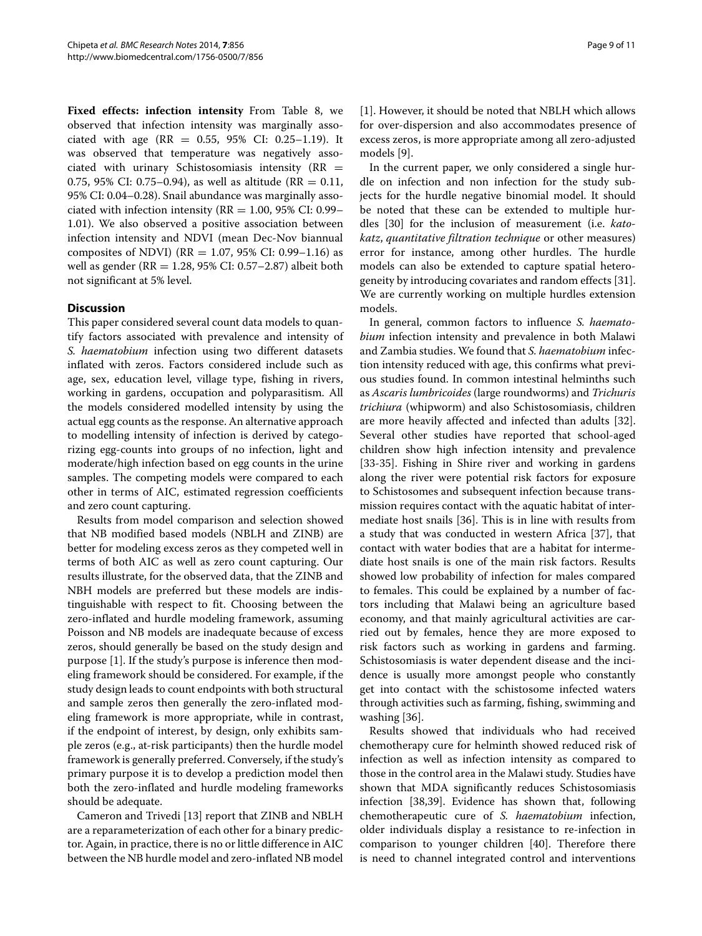**Fixed effects: infection intensity** From Table [8,](#page-7-3) we observed that infection intensity was marginally associated with age (RR =  $0.55$ , 95% CI: 0.25-1.19). It was observed that temperature was negatively associated with urinary Schistosomiasis intensity  $(RR =$ 0.75, 95% CI: 0.75–0.94), as well as altitude (RR =  $0.11$ , 95% CI: 0.04–0.28). Snail abundance was marginally associated with infection intensity ( $RR = 1.00$ ,  $95\%$  CI: 0.99-1.01). We also observed a positive association between infection intensity and NDVI (mean Dec-Nov biannual composites of NDVI) ( $RR = 1.07$ , 95% CI: 0.99–1.16) as well as gender ( $RR = 1.28$ ,  $95\%$  CI:  $0.57-2.87$ ) albeit both not significant at 5% level.

## **Discussion**

This paper considered several count data models to quantify factors associated with prevalence and intensity of *S. haematobium* infection using two different datasets inflated with zeros. Factors considered include such as age, sex, education level, village type, fishing in rivers, working in gardens, occupation and polyparasitism. All the models considered modelled intensity by using the actual egg counts as the response. An alternative approach to modelling intensity of infection is derived by categorizing egg-counts into groups of no infection, light and moderate/high infection based on egg counts in the urine samples. The competing models were compared to each other in terms of AIC, estimated regression coefficients and zero count capturing.

Results from model comparison and selection showed that NB modified based models (NBLH and ZINB) are better for modeling excess zeros as they competed well in terms of both AIC as well as zero count capturing. Our results illustrate, for the observed data, that the ZINB and NBH models are preferred but these models are indistinguishable with respect to fit. Choosing between the zero-inflated and hurdle modeling framework, assuming Poisson and NB models are inadequate because of excess zeros, should generally be based on the study design and purpose [\[1\]](#page-9-0). If the study's purpose is inference then modeling framework should be considered. For example, if the study design leads to count endpoints with both structural and sample zeros then generally the zero-inflated modeling framework is more appropriate, while in contrast, if the endpoint of interest, by design, only exhibits sample zeros (e.g., at-risk participants) then the hurdle model framework is generally preferred. Conversely, if the study's primary purpose it is to develop a prediction model then both the zero-inflated and hurdle modeling frameworks should be adequate.

Cameron and Trivedi [\[13\]](#page-9-12) report that ZINB and NBLH are a reparameterization of each other for a binary predictor. Again, in practice, there is no or little difference in AIC between the NB hurdle model and zero-inflated NB model [\[1\]](#page-9-0). However, it should be noted that NBLH which allows for over-dispersion and also accommodates presence of excess zeros, is more appropriate among all zero-adjusted models [\[9\]](#page-9-8).

In the current paper, we only considered a single hurdle on infection and non infection for the study subjects for the hurdle negative binomial model. It should be noted that these can be extended to multiple hurdles [\[30\]](#page-10-10) for the inclusion of measurement (i.e. *katokatz*, *quantitative filtration technique* or other measures) error for instance, among other hurdles. The hurdle models can also be extended to capture spatial heterogeneity by introducing covariates and random effects [\[31\]](#page-10-11). We are currently working on multiple hurdles extension models.

In general, common factors to influence *S. haematobium* infection intensity and prevalence in both Malawi and Zambia studies. We found that *S. haematobium* infection intensity reduced with age, this confirms what previous studies found. In common intestinal helminths such as *Ascaris lumbricoides* (large roundworms) and *Trichuris trichiura* (whipworm) and also Schistosomiasis, children are more heavily affected and infected than adults [\[32\]](#page-10-12). Several other studies have reported that school-aged children show high infection intensity and prevalence [\[33](#page-10-13)[-35\]](#page-10-14). Fishing in Shire river and working in gardens along the river were potential risk factors for exposure to Schistosomes and subsequent infection because transmission requires contact with the aquatic habitat of intermediate host snails [\[36\]](#page-10-15). This is in line with results from a study that was conducted in western Africa [\[37\]](#page-10-16), that contact with water bodies that are a habitat for intermediate host snails is one of the main risk factors. Results showed low probability of infection for males compared to females. This could be explained by a number of factors including that Malawi being an agriculture based economy, and that mainly agricultural activities are carried out by females, hence they are more exposed to risk factors such as working in gardens and farming. Schistosomiasis is water dependent disease and the incidence is usually more amongst people who constantly get into contact with the schistosome infected waters through activities such as farming, fishing, swimming and washing [\[36\]](#page-10-15).

Results showed that individuals who had received chemotherapy cure for helminth showed reduced risk of infection as well as infection intensity as compared to those in the control area in the Malawi study. Studies have shown that MDA significantly reduces Schistosomiasis infection [\[38,](#page-10-17)[39\]](#page-10-18). Evidence has shown that, following chemotherapeutic cure of *S. haematobium* infection, older individuals display a resistance to re-infection in comparison to younger children [\[40\]](#page-10-19). Therefore there is need to channel integrated control and interventions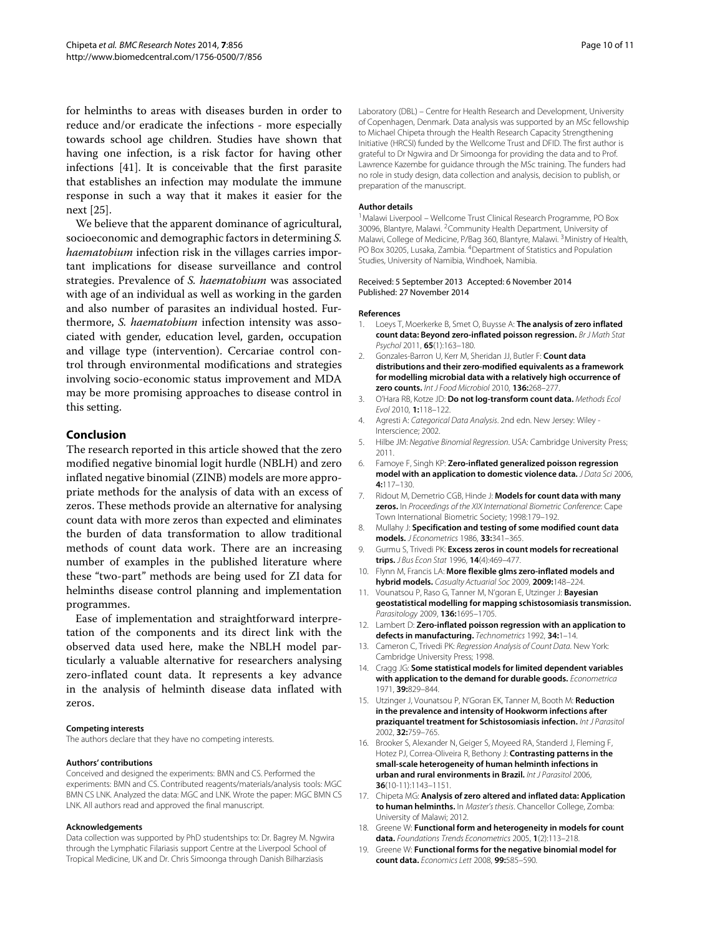for helminths to areas with diseases burden in order to reduce and/or eradicate the infections - more especially towards school age children. Studies have shown that having one infection, is a risk factor for having other infections [\[41\]](#page-10-20). It is conceivable that the first parasite that establishes an infection may modulate the immune response in such a way that it makes it easier for the next [\[25\]](#page-10-5).

We believe that the apparent dominance of agricultural, socioeconomic and demographic factors in determining *S. haematobium* infection risk in the villages carries important implications for disease surveillance and control strategies. Prevalence of *S. haematobium* was associated with age of an individual as well as working in the garden and also number of parasites an individual hosted. Furthermore, *S. haematobium* infection intensity was associated with gender, education level, garden, occupation and village type (intervention). Cercariae control control through environmental modifications and strategies involving socio-economic status improvement and MDA may be more promising approaches to disease control in this setting.

## **Conclusion**

The research reported in this article showed that the zero modified negative binomial logit hurdle (NBLH) and zero inflated negative binomial (ZINB) models are more appropriate methods for the analysis of data with an excess of zeros. These methods provide an alternative for analysing count data with more zeros than expected and eliminates the burden of data transformation to allow traditional methods of count data work. There are an increasing number of examples in the published literature where these "two-part" methods are being used for ZI data for helminths disease control planning and implementation programmes.

Ease of implementation and straightforward interpretation of the components and its direct link with the observed data used here, make the NBLH model particularly a valuable alternative for researchers analysing zero-inflated count data. It represents a key advance in the analysis of helminth disease data inflated with zeros.

#### **Competing interests**

The authors declare that they have no competing interests.

#### **Authors' contributions**

Conceived and designed the experiments: BMN and CS. Performed the experiments: BMN and CS. Contributed reagents/materials/analysis tools: MGC BMN CS LNK. Analyzed the data: MGC and LNK. Wrote the paper: MGC BMN CS LNK. All authors read and approved the final manuscript.

#### **Acknowledgements**

Data collection was supported by PhD studentships to: Dr. Bagrey M. Ngwira through the Lymphatic Filariasis support Centre at the Liverpool School of Tropical Medicine, UK and Dr. Chris Simoonga through Danish Bilharziasis

Laboratory (DBL) – Centre for Health Research and Development, University of Copenhagen, Denmark. Data analysis was supported by an MSc fellowship to Michael Chipeta through the Health Research Capacity Strengthening Initiative (HRCSI) funded by the Wellcome Trust and DFID. The first author is grateful to Dr Ngwira and Dr Simoonga for providing the data and to Prof. Lawrence Kazembe for guidance through the MSc training. The funders had no role in study design, data collection and analysis, decision to publish, or preparation of the manuscript.

#### **Author details**

<sup>1</sup> Malawi Liverpool – Wellcome Trust Clinical Research Programme, PO Box 30096, Blantyre, Malawi. 2Community Health Department, University of Malawi, College of Medicine, P/Bag 360, Blantyre, Malawi. 3Ministry of Health, PO Box 30205, Lusaka, Zambia. 4Department of Statistics and Population Studies, University of Namibia, Windhoek, Namibia.

#### Received: 5 September 2013 Accepted: 6 November 2014 Published: 27 November 2014

#### **References**

- <span id="page-9-0"></span>1. Loeys T, Moerkerke B, Smet O, Buysse A: **The analysis of zero inflated count data: Beyond zero-inflated poisson regression.** *Br J Math Stat Psychol* 2011, **65**(1):163–180.
- <span id="page-9-4"></span>2. Gonzales-Barron U, Kerr M, Sheridan JJ, Butler F: **Count data distributions and their zero-modified equivalents as a framework for modelling microbial data with a relatively high occurrence of zero counts.** *Int J Food Microbiol* 2010, **136:**268–277.
- <span id="page-9-1"></span>3. O'Hara RB, Kotze JD: **Do not log-transform count data.** *Methods Ecol Evol* 2010, **1:**118–122.
- <span id="page-9-2"></span>4. Agresti A: *Categorical Data Analysis*. 2nd edn. New Jersey: Wiley - Interscience; 2002.
- <span id="page-9-3"></span>5. Hilbe JM: *Negative Binomial Regression*. USA: Cambridge University Press; 2011.
- <span id="page-9-5"></span>6. Famoye F, Singh KP: **Zero-inflated generalized poisson regression model with an application to domestic violence data.** *J Data Sci* 2006, **4:**117–130.
- <span id="page-9-6"></span>7. Ridout M, Demetrio CGB, Hinde J: **Models for count data with many zeros.** In *Proceedings of the XIX International Biometric Conference*: Cape Town International Biometric Society; 1998:179–192.
- <span id="page-9-7"></span>8. Mullahy J: **Specification and testing of some modified count data models.** *J Econometrics* 1986, **33:**341–365.
- <span id="page-9-8"></span>9. Gurmu S, Trivedi PK: **Excess zeros in count models for recreational trips.** *J Bus Econ Stat* 1996, **14**(4):469–477.
- <span id="page-9-9"></span>10. Flynn M, Francis LA: **More flexible glms zero-inflated models and hybrid models.** *Casualty Actuarial Soc* 2009, **2009:**148–224.
- <span id="page-9-10"></span>11. Vounatsou P, Raso G, Tanner M, N'goran E, Utzinger J: **Bayesian geostatistical modelling for mapping schistosomiasis transmission.** *Parasitology* 2009, **136:**1695–1705.
- <span id="page-9-11"></span>12. Lambert D: **Zero-inflated poisson regression with an application to defects in manufacturing.** *Technometrics* 1992, **34:**1–14.
- <span id="page-9-12"></span>13. Cameron C, Trivedi PK: *Regression Analysis of Count Data*. New York: Cambridge University Press; 1998.
- <span id="page-9-13"></span>14. Cragg JG: **Some statistical models for limited dependent variables with application to the demand for durable goods.** *Econometrica* 1971, **39:**829–844.
- <span id="page-9-14"></span>15. Utzinger J, Vounatsou P, N'Goran EK, Tanner M, Booth M: **Reduction in the prevalence and intensity of Hookworm infections after praziquantel treatment for Schistosomiasis infection.** *Int J Parasitol* 2002, **32:**759–765.
- <span id="page-9-15"></span>16. Brooker S, Alexander N, Geiger S, Moyeed RA, Standerd J, Fleming F, Hotez PJ, Correa-Oliveira R, Bethony J: **Contrasting patterns in the small-scale heterogeneity of human helminth infections in urban and rural environments in Brazil.** *Int J Parasitol* 2006, **36**(10-11):1143–1151.
- <span id="page-9-16"></span>17. Chipeta MG: **Analysis of zero altered and inflated data: Application to human helminths.** In *Master's thesis*. Chancellor College, Zomba: University of Malawi; 2012.
- <span id="page-9-17"></span>18. Greene W: **Functional form and heterogeneity in models for count data.** *Foundations Trends Econometrics* 2005, **1**(2):113–218.
- <span id="page-9-18"></span>19. Greene W: **Functional forms for the negative binomial model for count data.** *Economics Lett* 2008, **99:**585–590.